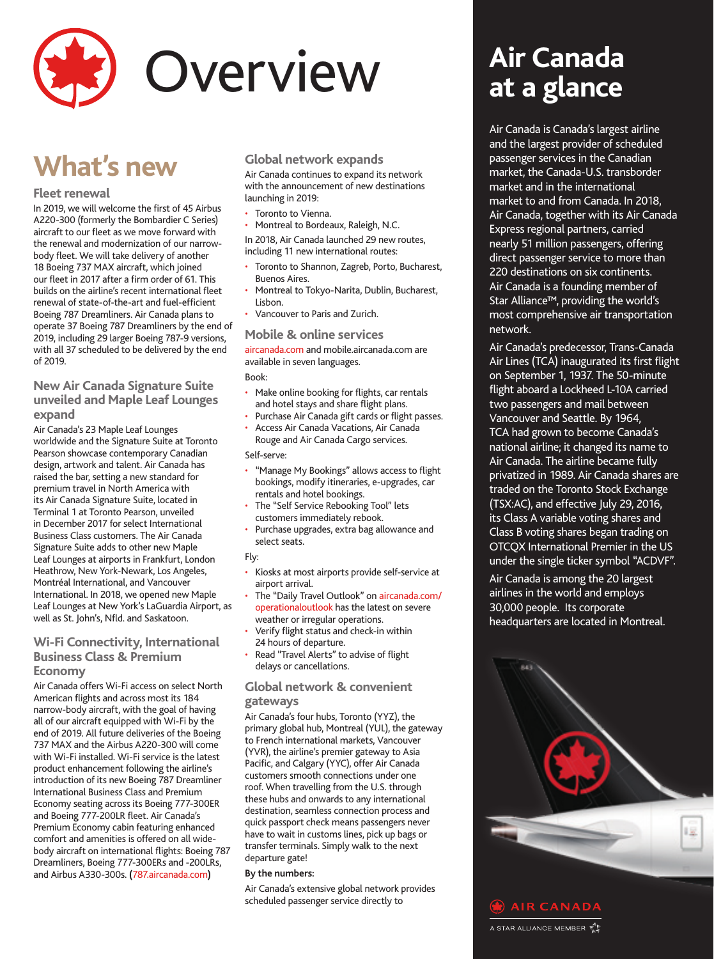

## **What's new**

## **Fleet renewal**

In 2019, we will welcome the first of 45 Airbus A220-300 (formerly the Bombardier C Series) aircraft to our fleet as we move forward with the renewal and modernization of our narrowbody fleet. We will take delivery of another 18 Boeing 737 MAX aircraft, which joined our fleet in 2017 after a firm order of 61. This builds on the airline's recent international fleet renewal of state-of-the-art and fuel-efficient Boeing 787 Dreamliners. Air Canada plans to operate 37 Boeing 787 Dreamliners by the end of 2019, including 29 larger Boeing 787-9 versions, with all 37 scheduled to be delivered by the end of 2019.

## **New Air Canada Signature Suite unveiled and Maple Leaf Lounges expand**

Air Canada's 23 Maple Leaf Lounges worldwide and the Signature Suite at Toronto Pearson showcase contemporary Canadian design, artwork and talent. Air Canada has raised the bar, setting a new standard for premium travel in North America with its Air Canada Signature Suite, located in Terminal 1 at Toronto Pearson, unveiled in December 2017 for select International Business Class customers. The Air Canada Signature Suite adds to other new Maple Leaf Lounges at airports in Frankfurt, London Heathrow, New York-Newark, Los Angeles, Montréal International, and Vancouver International. In 2018, we opened new Maple Leaf Lounges at New York's LaGuardia Airport, as well as St. John's, Nfld. and Saskatoon.

## **Wi-Fi Connectivity, International Business Class & Premium Economy**

Air Canada offers Wi-Fi access on select North American flights and across most its 184 narrow-body aircraft, with the goal of having all of our aircraft equipped with Wi-Fi by the end of 2019. All future deliveries of the Boeing 737 MAX and the Airbus A220-300 will come with Wi-Fi installed. Wi-Fi service is the latest product enhancement following the airline's introduction of its new Boeing 787 Dreamliner International Business Class and Premium Economy seating across its Boeing 777-300ER and Boeing 777-200LR fleet. Air Canada's Premium Economy cabin featuring enhanced comfort and amenities is offered on all widebody aircraft on international flights: Boeing 787 Dreamliners, Boeing 777-300ERs and -200LRs, and Airbus A330-300s. **(**787.aircanada.com**)**

## **Global network expands**

Air Canada continues to expand its network with the announcement of new destinations launching in 2019:

- Toronto to Vienna.
- Montreal to Bordeaux, Raleigh, N.C.

In 2018, Air Canada launched 29 new routes, including 11 new international routes:

- Toronto to Shannon, Zagreb, Porto, Bucharest, Buenos Aires.
- Montreal to Tokyo-Narita, Dublin, Bucharest, Lisbon.
- Vancouver to Paris and Zurich.

#### **Mobile & online services**

aircanada.com and mobile.aircanada.com are available in seven languages.

#### Book:

- Make online booking for flights, car rentals and hotel stays and share flight plans.
- Purchase Air Canada gift cards or flight passes.
- Access Air Canada Vacations, Air Canada Rouge and Air Canada Cargo services.

## Self-serve:

- "Manage My Bookings" allows access to flight bookings, modify itineraries, e-upgrades, car rentals and hotel bookings.
- The "Self Service Rebooking Tool" lets customers immediately rebook.
- Purchase upgrades, extra bag allowance and select seats.

### Fly:

- Kiosks at most airports provide self-service at airport arrival.
- The "Daily Travel Outlook" on aircanada.com/ operationaloutlook has the latest on severe weather or irregular operations.
- Verify flight status and check-in within 24 hours of departure.
- Read "Travel Alerts" to advise of flight delays or cancellations.

## **Global network & convenient gateways**

Air Canada's four hubs, Toronto (YYZ), the primary global hub, Montreal (YUL), the gateway to French international markets, Vancouver (YVR), the airline's premier gateway to Asia Pacific, and Calgary (YYC), offer Air Canada customers smooth connections under one roof. When travelling from the U.S. through these hubs and onwards to any international destination, seamless connection process and quick passport check means passengers never have to wait in customs lines, pick up bags or transfer terminals. Simply walk to the next departure gate!

## **By the numbers:**

Air Canada's extensive global network provides scheduled passenger service directly to

# **at a glance**

Air Canada is Canada's largest airline and the largest provider of scheduled passenger services in the Canadian market, the Canada-U.S. transborder market and in the international market to and from Canada. In 2018, Air Canada, together with its Air Canada Express regional partners, carried nearly 51 million passengers, offering direct passenger service to more than 220 destinations on six continents. Air Canada is a founding member of Star Alliance™, providing the world's most comprehensive air transportation network.

Air Canada's predecessor, Trans-Canada Air Lines (TCA) inaugurated its first flight on September 1, 1937. The 50-minute flight aboard a Lockheed L-10A carried two passengers and mail between Vancouver and Seattle. By 1964, TCA had grown to become Canada's national airline; it changed its name to Air Canada. The airline became fully privatized in 1989. Air Canada shares are traded on the Toronto Stock Exchange (TSX:AC), and effective July 29, 2016, its Class A variable voting shares and Class B voting shares began trading on OTCQX International Premier in the US under the single ticker symbol "ACDVF".

Air Canada is among the 20 largest airlines in the world and employs 30,000 people. Its corporate headquarters are located in Montreal.